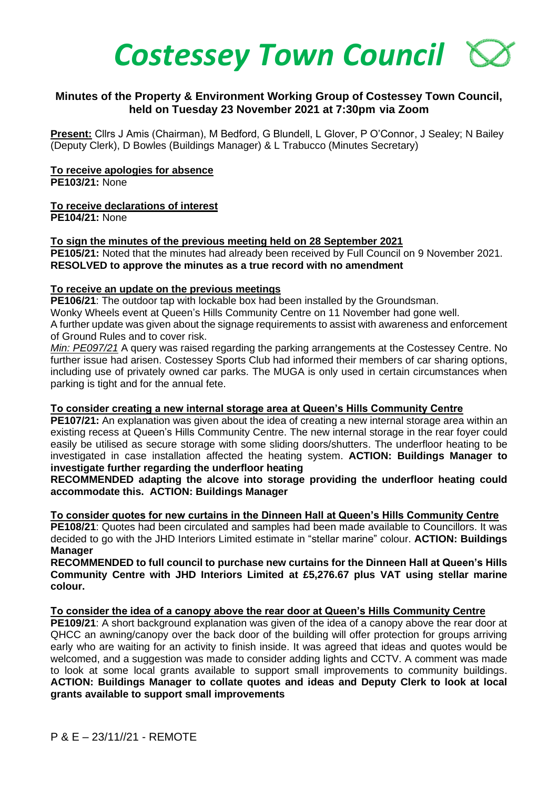

# **Minutes of the Property & Environment Working Group of Costessey Town Council, held on Tuesday 23 November 2021 at 7:30pm via Zoom**

**Present:** Cllrs J Amis (Chairman), M Bedford, G Blundell, L Glover, P O'Connor, J Sealey; N Bailey (Deputy Clerk), D Bowles (Buildings Manager) & L Trabucco (Minutes Secretary)

#### **To receive apologies for absence**

**PE103/21:** None

## **To receive declarations of interest**

**PE104/21:** None

#### **To sign the minutes of the previous meeting held on 28 September 2021**

**PE105/21:** Noted that the minutes had already been received by Full Council on 9 November 2021. **RESOLVED to approve the minutes as a true record with no amendment**

#### **To receive an update on the previous meetings**

**PE106/21**: The outdoor tap with lockable box had been installed by the Groundsman.

Wonky Wheels event at Queen's Hills Community Centre on 11 November had gone well.

A further update was given about the signage requirements to assist with awareness and enforcement of Ground Rules and to cover risk.

*Min: PE097/21* A query was raised regarding the parking arrangements at the Costessey Centre. No further issue had arisen. Costessey Sports Club had informed their members of car sharing options, including use of privately owned car parks. The MUGA is only used in certain circumstances when parking is tight and for the annual fete.

## **To consider creating a new internal storage area at Queen's Hills Community Centre**

**PE107/21:** An explanation was given about the idea of creating a new internal storage area within an existing recess at Queen's Hills Community Centre. The new internal storage in the rear foyer could easily be utilised as secure storage with some sliding doors/shutters. The underfloor heating to be investigated in case installation affected the heating system. **ACTION: Buildings Manager to investigate further regarding the underfloor heating**

**RECOMMENDED adapting the alcove into storage providing the underfloor heating could accommodate this. ACTION: Buildings Manager**

**To consider quotes for new curtains in the Dinneen Hall at Queen's Hills Community Centre**

**PE108/21**: Quotes had been circulated and samples had been made available to Councillors. It was decided to go with the JHD Interiors Limited estimate in "stellar marine" colour. **ACTION: Buildings Manager**

**RECOMMENDED to full council to purchase new curtains for the Dinneen Hall at Queen's Hills Community Centre with JHD Interiors Limited at £5,276.67 plus VAT using stellar marine colour.**

## **To consider the idea of a canopy above the rear door at Queen's Hills Community Centre**

**PE109/21**: A short background explanation was given of the idea of a canopy above the rear door at QHCC an awning/canopy over the back door of the building will offer protection for groups arriving early who are waiting for an activity to finish inside. It was agreed that ideas and quotes would be welcomed, and a suggestion was made to consider adding lights and CCTV. A comment was made to look at some local grants available to support small improvements to community buildings. **ACTION: Buildings Manager to collate quotes and ideas and Deputy Clerk to look at local grants available to support small improvements**